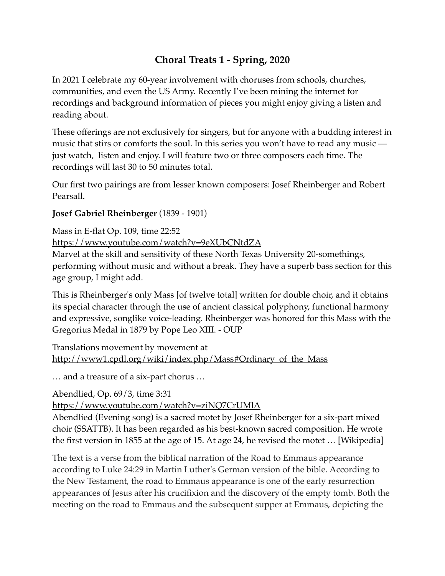## **Choral Treats 1 - Spring, 2020**

In 2021 I celebrate my 60-year involvement with choruses from schools, churches, communities, and even the US Army. Recently I've been mining the internet for recordings and background information of pieces you might enjoy giving a listen and reading about.

These offerings are not exclusively for singers, but for anyone with a budding interest in music that stirs or comforts the soul. In this series you won't have to read any music just watch, listen and enjoy. I will feature two or three composers each time. The recordings will last 30 to 50 minutes total.

Our first two pairings are from lesser known composers: Josef Rheinberger and Robert Pearsall.

## **Josef Gabriel Rheinberger** (1839 - 1901)

Mass in E-flat Op. 109, time 22:52 <https://www.youtube.com/watch?v=9eXUbCNtdZA> Marvel at the skill and sensitivity of these North Texas University 20-somethings,

performing without music and without a break. They have a superb bass section for this age group, I might add.

This is Rheinberger's only Mass [of twelve total] written for double choir, and it obtains its special character through the use of ancient classical polyphony, functional harmony and expressive, songlike voice-leading. Rheinberger was honored for this Mass with the Gregorius Medal in 1879 by Pope Leo XIII. - OUP

Translations movement by movement at [http://www1.cpdl.org/wiki/index.php/Mass#Ordinary\\_of\\_the\\_Mass](http://www1.cpdl.org/wiki/index.php/Mass#Ordinary_of_the_Mass)

… and a treasure of a six-part chorus …

Abendlied, [Op.](https://en.wikipedia.org/wiki/Opus_number) 69/3, time 3:31

<https://www.youtube.com/watch?v=ziNQ7CrUMlA>

Abendlied (Evening song) is a sacred [motet](https://en.wikipedia.org/wiki/Motet) by [Josef Rheinberger](https://en.wikipedia.org/wiki/Josef_Rheinberger) for a six-part mixed choir [\(SSATTB](https://en.wikipedia.org/wiki/SATB)). It has been regarded as his best-known sacred composition. He wrote the first version in 1855 at the age of 15. At age 24, he revised the motet … [Wikipedia]

The text is a verse from the biblical narration of the [Road to Emmaus appearance](https://en.wikipedia.org/wiki/Road_to_Emmaus_appearance) according to [Luke 24:29](https://en.wikisource.org/wiki/Bible_(King_James)/Luke#24:29) in [Martin Luther](https://en.wikipedia.org/wiki/Martin_Luther)'s German version of the bible. According to the New Testament, the road to Emmaus appearance is one of the early [resurrection](https://en.wikipedia.org/wiki/Resurrection_appearance_of_Jesus)  [appearances of Jesus](https://en.wikipedia.org/wiki/Resurrection_appearance_of_Jesus) after [his crucifixion](https://en.wikipedia.org/wiki/Crucifixion_of_Jesus) and the discovery of the [empty tomb.](https://en.wikipedia.org/wiki/Empty_tomb) Both the meeting on the road to [Emmaus](https://en.wikipedia.org/wiki/Emmaus) and the subsequent supper at Emmaus, depicting the